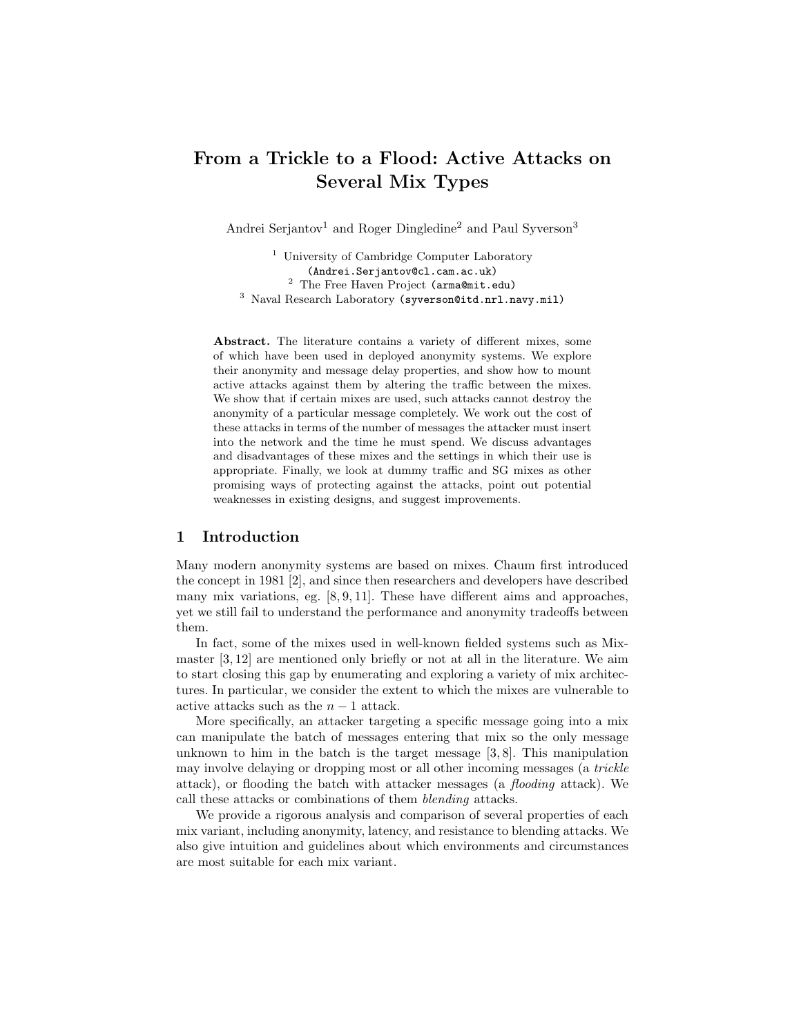# From a Trickle to a Flood: Active Attacks on Several Mix Types

Andrei Serjantov<sup>1</sup> and Roger Dingledine<sup>2</sup> and Paul Syverson<sup>3</sup>

 $^{\rm 1}$ University of Cambridge Computer Laboratory (Andrei.Serjantov@cl.cam.ac.uk) <sup>2</sup> The Free Haven Project (arma@mit.edu) <sup>3</sup> Naval Research Laboratory (syverson@itd.nrl.navy.mil)

Abstract. The literature contains a variety of different mixes, some of which have been used in deployed anonymity systems. We explore their anonymity and message delay properties, and show how to mount active attacks against them by altering the traffic between the mixes. We show that if certain mixes are used, such attacks cannot destroy the anonymity of a particular message completely. We work out the cost of these attacks in terms of the number of messages the attacker must insert into the network and the time he must spend. We discuss advantages and disadvantages of these mixes and the settings in which their use is appropriate. Finally, we look at dummy traffic and SG mixes as other promising ways of protecting against the attacks, point out potential weaknesses in existing designs, and suggest improvements.

# 1 Introduction

Many modern anonymity systems are based on mixes. Chaum first introduced the concept in 1981 [2], and since then researchers and developers have described many mix variations, eg. [8, 9, 11]. These have different aims and approaches, yet we still fail to understand the performance and anonymity tradeoffs between them.

In fact, some of the mixes used in well-known fielded systems such as Mixmaster [3, 12] are mentioned only briefly or not at all in the literature. We aim to start closing this gap by enumerating and exploring a variety of mix architectures. In particular, we consider the extent to which the mixes are vulnerable to active attacks such as the  $n-1$  attack.

More specifically, an attacker targeting a specific message going into a mix can manipulate the batch of messages entering that mix so the only message unknown to him in the batch is the target message [3, 8]. This manipulation may involve delaying or dropping most or all other incoming messages (a trickle attack), or flooding the batch with attacker messages (a flooding attack). We call these attacks or combinations of them blending attacks.

We provide a rigorous analysis and comparison of several properties of each mix variant, including anonymity, latency, and resistance to blending attacks. We also give intuition and guidelines about which environments and circumstances are most suitable for each mix variant.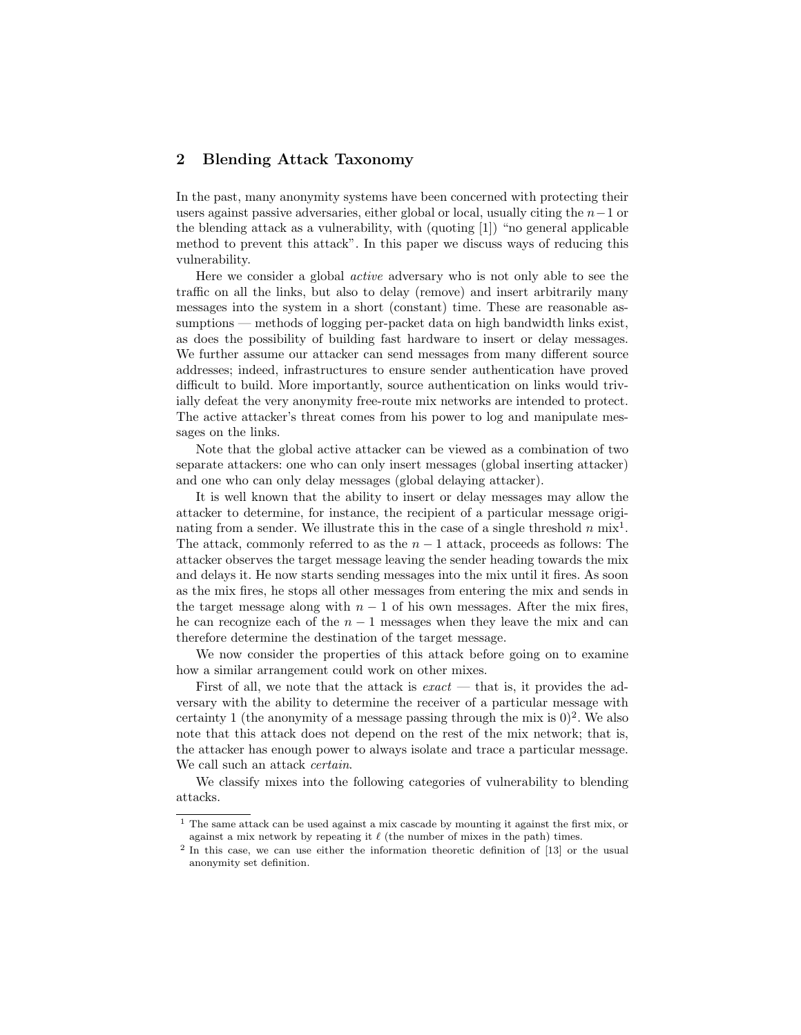# 2 Blending Attack Taxonomy

In the past, many anonymity systems have been concerned with protecting their users against passive adversaries, either global or local, usually citing the  $n-1$  or the blending attack as a vulnerability, with (quoting [1]) "no general applicable method to prevent this attack". In this paper we discuss ways of reducing this vulnerability.

Here we consider a global active adversary who is not only able to see the traffic on all the links, but also to delay (remove) and insert arbitrarily many messages into the system in a short (constant) time. These are reasonable assumptions — methods of logging per-packet data on high bandwidth links exist, as does the possibility of building fast hardware to insert or delay messages. We further assume our attacker can send messages from many different source addresses; indeed, infrastructures to ensure sender authentication have proved difficult to build. More importantly, source authentication on links would trivially defeat the very anonymity free-route mix networks are intended to protect. The active attacker's threat comes from his power to log and manipulate messages on the links.

Note that the global active attacker can be viewed as a combination of two separate attackers: one who can only insert messages (global inserting attacker) and one who can only delay messages (global delaying attacker).

It is well known that the ability to insert or delay messages may allow the attacker to determine, for instance, the recipient of a particular message originating from a sender. We illustrate this in the case of a single threshold  $n \text{ mix}^1$ . The attack, commonly referred to as the  $n-1$  attack, proceeds as follows: The attacker observes the target message leaving the sender heading towards the mix and delays it. He now starts sending messages into the mix until it fires. As soon as the mix fires, he stops all other messages from entering the mix and sends in the target message along with  $n - 1$  of his own messages. After the mix fires, he can recognize each of the  $n - 1$  messages when they leave the mix and can therefore determine the destination of the target message.

We now consider the properties of this attack before going on to examine how a similar arrangement could work on other mixes.

First of all, we note that the attack is  $exact$  — that is, it provides the adversary with the ability to determine the receiver of a particular message with certainty 1 (the anonymity of a message passing through the mix is  $0)^2$ . We also note that this attack does not depend on the rest of the mix network; that is, the attacker has enough power to always isolate and trace a particular message. We call such an attack *certain*.

We classify mixes into the following categories of vulnerability to blending attacks.

<sup>1</sup> The same attack can be used against a mix cascade by mounting it against the first mix, or against a mix network by repeating it  $\ell$  (the number of mixes in the path) times.

<sup>2</sup> In this case, we can use either the information theoretic definition of [13] or the usual anonymity set definition.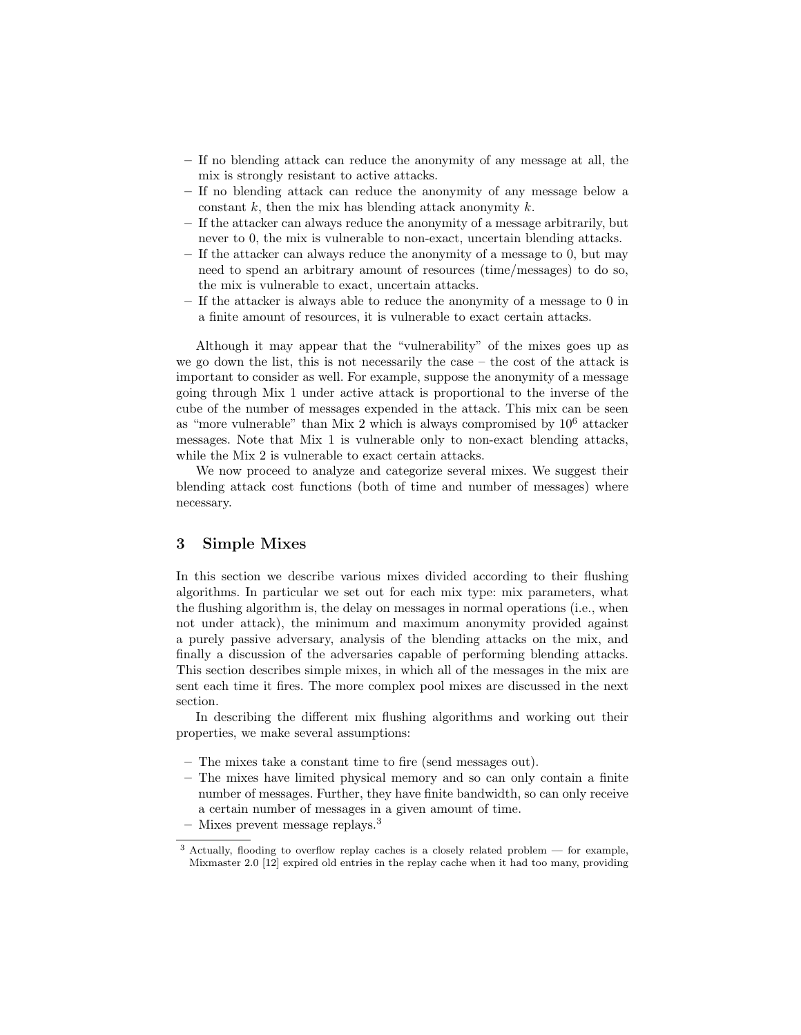- If no blending attack can reduce the anonymity of any message at all, the mix is strongly resistant to active attacks.
- If no blending attack can reduce the anonymity of any message below a constant  $k$ , then the mix has blending attack anonymity  $k$ .
- If the attacker can always reduce the anonymity of a message arbitrarily, but never to 0, the mix is vulnerable to non-exact, uncertain blending attacks.
- If the attacker can always reduce the anonymity of a message to 0, but may need to spend an arbitrary amount of resources (time/messages) to do so, the mix is vulnerable to exact, uncertain attacks.
- If the attacker is always able to reduce the anonymity of a message to 0 in a finite amount of resources, it is vulnerable to exact certain attacks.

Although it may appear that the "vulnerability" of the mixes goes up as we go down the list, this is not necessarily the case  $-$  the cost of the attack is important to consider as well. For example, suppose the anonymity of a message going through Mix 1 under active attack is proportional to the inverse of the cube of the number of messages expended in the attack. This mix can be seen as "more vulnerable" than Mix 2 which is always compromised by  $10^6$  attacker messages. Note that Mix 1 is vulnerable only to non-exact blending attacks, while the Mix 2 is vulnerable to exact certain attacks.

We now proceed to analyze and categorize several mixes. We suggest their blending attack cost functions (both of time and number of messages) where necessary.

# 3 Simple Mixes

In this section we describe various mixes divided according to their flushing algorithms. In particular we set out for each mix type: mix parameters, what the flushing algorithm is, the delay on messages in normal operations (i.e., when not under attack), the minimum and maximum anonymity provided against a purely passive adversary, analysis of the blending attacks on the mix, and finally a discussion of the adversaries capable of performing blending attacks. This section describes simple mixes, in which all of the messages in the mix are sent each time it fires. The more complex pool mixes are discussed in the next section.

In describing the different mix flushing algorithms and working out their properties, we make several assumptions:

- The mixes take a constant time to fire (send messages out).
- The mixes have limited physical memory and so can only contain a finite number of messages. Further, they have finite bandwidth, so can only receive a certain number of messages in a given amount of time.
- Mixes prevent message replays.<sup>3</sup>

 $3$  Actually, flooding to overflow replay caches is a closely related problem — for example, Mixmaster 2.0 [12] expired old entries in the replay cache when it had too many, providing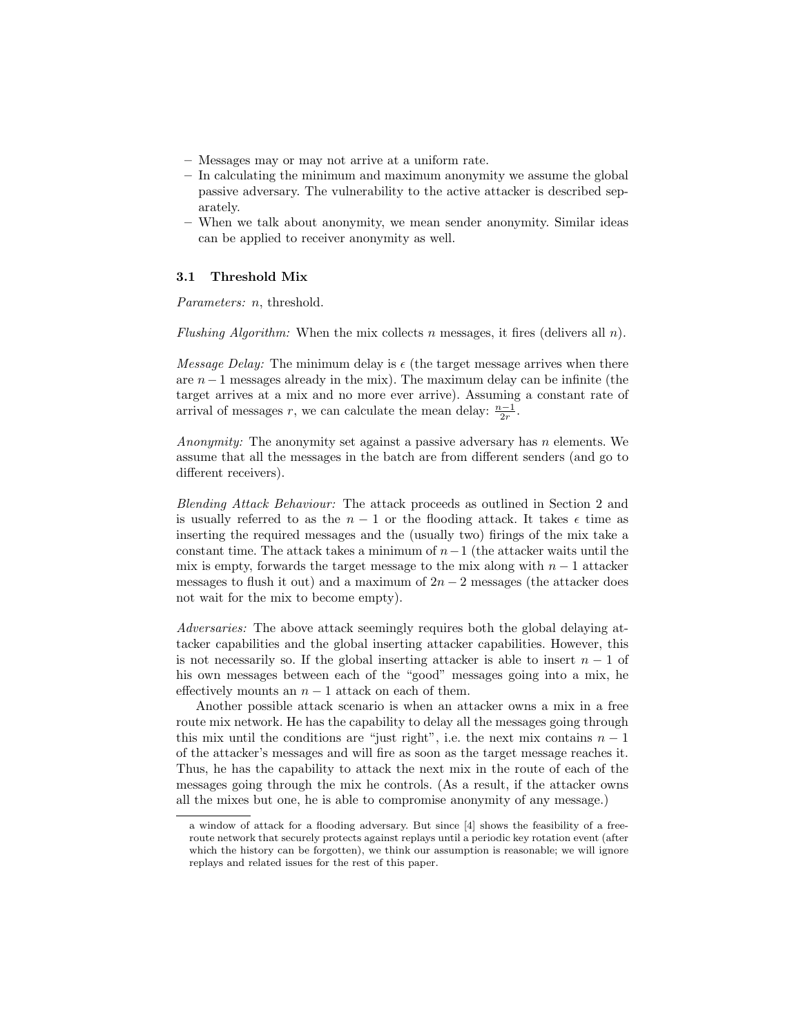- Messages may or may not arrive at a uniform rate.
- In calculating the minimum and maximum anonymity we assume the global passive adversary. The vulnerability to the active attacker is described separately.
- When we talk about anonymity, we mean sender anonymity. Similar ideas can be applied to receiver anonymity as well.

### 3.1 Threshold Mix

Parameters: n, threshold.

Flushing Algorithm: When the mix collects n messages, it fires (delivers all n).

*Message Delay:* The minimum delay is  $\epsilon$  (the target message arrives when there are n−1 messages already in the mix). The maximum delay can be infinite (the target arrives at a mix and no more ever arrive). Assuming a constant rate of arrival of messages r, we can calculate the mean delay:  $\frac{n-1}{2r}$ .

Anonymity: The anonymity set against a passive adversary has n elements. We assume that all the messages in the batch are from different senders (and go to different receivers).

Blending Attack Behaviour: The attack proceeds as outlined in Section 2 and is usually referred to as the  $n-1$  or the flooding attack. It takes  $\epsilon$  time as inserting the required messages and the (usually two) firings of the mix take a constant time. The attack takes a minimum of  $n-1$  (the attacker waits until the mix is empty, forwards the target message to the mix along with  $n-1$  attacker messages to flush it out) and a maximum of  $2n-2$  messages (the attacker does not wait for the mix to become empty).

Adversaries: The above attack seemingly requires both the global delaying attacker capabilities and the global inserting attacker capabilities. However, this is not necessarily so. If the global inserting attacker is able to insert  $n - 1$  of his own messages between each of the "good" messages going into a mix, he effectively mounts an  $n-1$  attack on each of them.

Another possible attack scenario is when an attacker owns a mix in a free route mix network. He has the capability to delay all the messages going through this mix until the conditions are "just right", i.e. the next mix contains  $n-1$ of the attacker's messages and will fire as soon as the target message reaches it. Thus, he has the capability to attack the next mix in the route of each of the messages going through the mix he controls. (As a result, if the attacker owns all the mixes but one, he is able to compromise anonymity of any message.)

a window of attack for a flooding adversary. But since [4] shows the feasibility of a freeroute network that securely protects against replays until a periodic key rotation event (after which the history can be forgotten), we think our assumption is reasonable; we will ignore replays and related issues for the rest of this paper.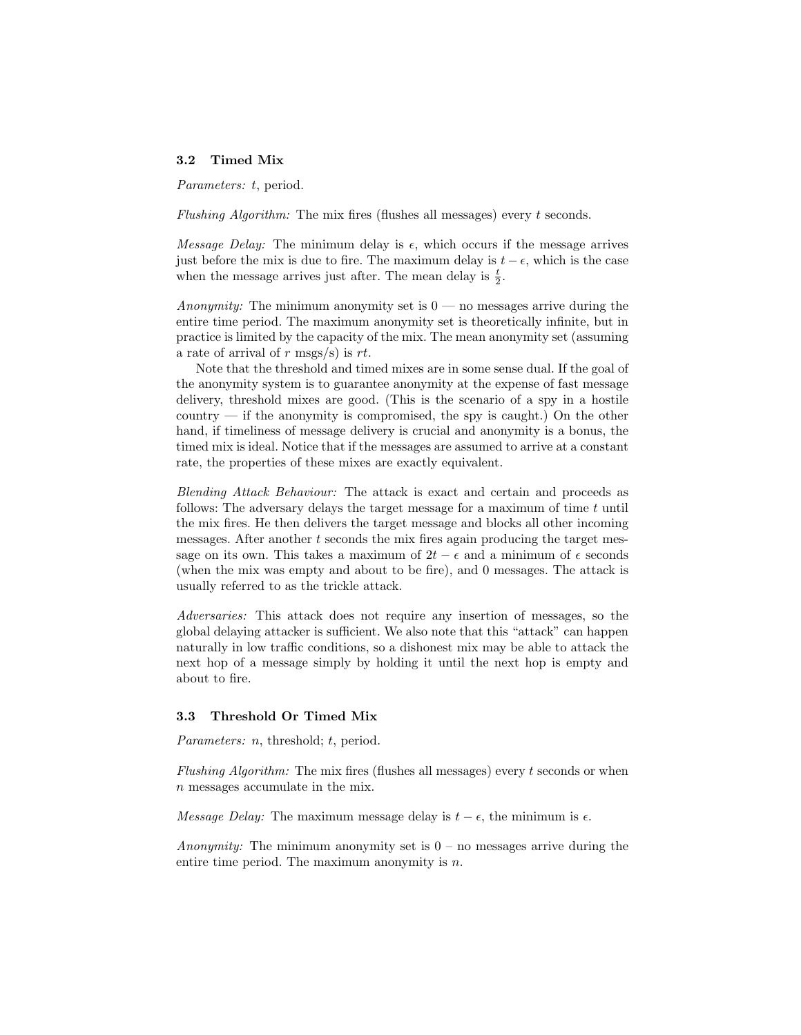## 3.2 Timed Mix

Parameters: t, period.

Flushing Algorithm: The mix fires (flushes all messages) every  $t$  seconds.

*Message Delay:* The minimum delay is  $\epsilon$ , which occurs if the message arrives just before the mix is due to fire. The maximum delay is  $t - \epsilon$ , which is the case when the message arrives just after. The mean delay is  $\frac{t}{2}$ .

Anonymity: The minimum anonymity set is  $0$  — no messages arrive during the entire time period. The maximum anonymity set is theoretically infinite, but in practice is limited by the capacity of the mix. The mean anonymity set (assuming a rate of arrival of r msgs/s) is rt.

Note that the threshold and timed mixes are in some sense dual. If the goal of the anonymity system is to guarantee anonymity at the expense of fast message delivery, threshold mixes are good. (This is the scenario of a spy in a hostile country — if the anonymity is compromised, the spy is caught.) On the other hand, if timeliness of message delivery is crucial and anonymity is a bonus, the timed mix is ideal. Notice that if the messages are assumed to arrive at a constant rate, the properties of these mixes are exactly equivalent.

Blending Attack Behaviour: The attack is exact and certain and proceeds as follows: The adversary delays the target message for a maximum of time  $t$  until the mix fires. He then delivers the target message and blocks all other incoming messages. After another  $t$  seconds the mix fires again producing the target message on its own. This takes a maximum of  $2t - \epsilon$  and a minimum of  $\epsilon$  seconds (when the mix was empty and about to be fire), and 0 messages. The attack is usually referred to as the trickle attack.

Adversaries: This attack does not require any insertion of messages, so the global delaying attacker is sufficient. We also note that this "attack" can happen naturally in low traffic conditions, so a dishonest mix may be able to attack the next hop of a message simply by holding it until the next hop is empty and about to fire.

### 3.3 Threshold Or Timed Mix

Parameters: n, threshold; t, period.

Flushing Algorithm: The mix fires (flushes all messages) every t seconds or when n messages accumulate in the mix.

Message Delay: The maximum message delay is  $t - \epsilon$ , the minimum is  $\epsilon$ .

Anonymity: The minimum anonymity set is  $0 -$  no messages arrive during the entire time period. The maximum anonymity is  $n$ .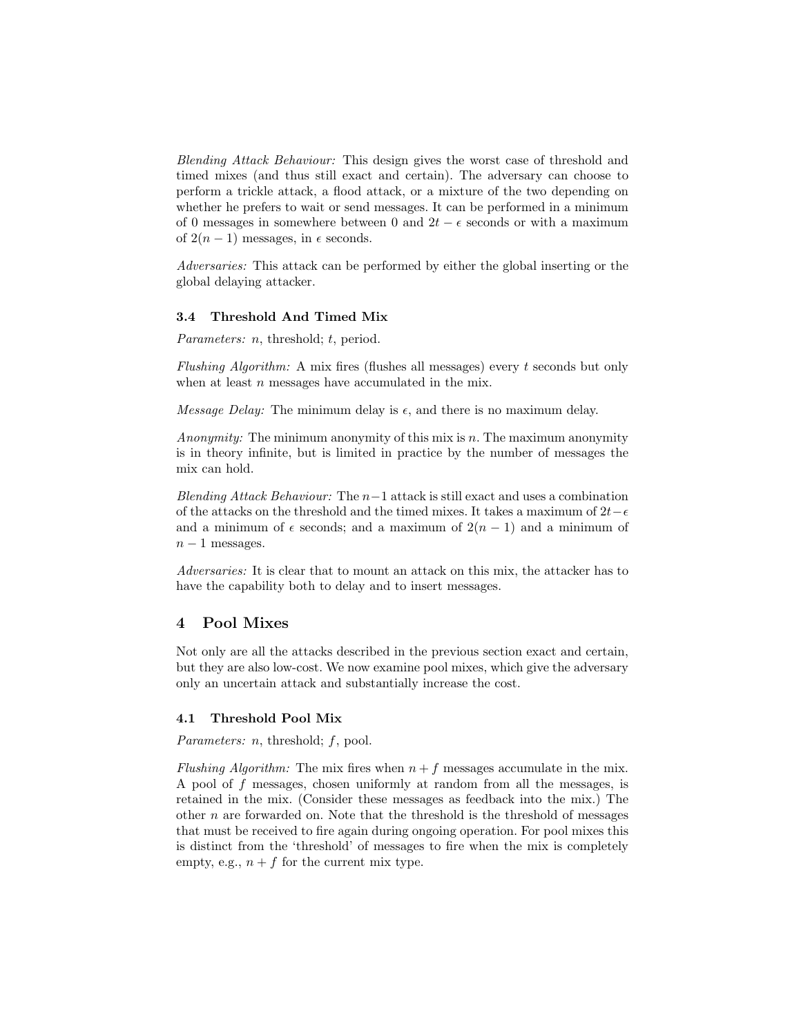Blending Attack Behaviour: This design gives the worst case of threshold and timed mixes (and thus still exact and certain). The adversary can choose to perform a trickle attack, a flood attack, or a mixture of the two depending on whether he prefers to wait or send messages. It can be performed in a minimum of 0 messages in somewhere between 0 and  $2t - \epsilon$  seconds or with a maximum of  $2(n-1)$  messages, in  $\epsilon$  seconds.

Adversaries: This attack can be performed by either the global inserting or the global delaying attacker.

### 3.4 Threshold And Timed Mix

Parameters: n, threshold; t, period.

Flushing Algorithm: A mix fires (flushes all messages) every  $t$  seconds but only when at least  $n$  messages have accumulated in the mix.

*Message Delay:* The minimum delay is  $\epsilon$ , and there is no maximum delay.

Anonymity: The minimum anonymity of this mix is n. The maximum anonymity is in theory infinite, but is limited in practice by the number of messages the mix can hold.

Blending Attack Behaviour: The  $n-1$  attack is still exact and uses a combination of the attacks on the threshold and the timed mixes. It takes a maximum of  $2t-\epsilon$ and a minimum of  $\epsilon$  seconds; and a maximum of  $2(n-1)$  and a minimum of  $n-1$  messages.

Adversaries: It is clear that to mount an attack on this mix, the attacker has to have the capability both to delay and to insert messages.

# 4 Pool Mixes

Not only are all the attacks described in the previous section exact and certain, but they are also low-cost. We now examine pool mixes, which give the adversary only an uncertain attack and substantially increase the cost.

# 4.1 Threshold Pool Mix

Parameters: n, threshold; f, pool.

Flushing Algorithm: The mix fires when  $n + f$  messages accumulate in the mix. A pool of f messages, chosen uniformly at random from all the messages, is retained in the mix. (Consider these messages as feedback into the mix.) The other  $n$  are forwarded on. Note that the threshold is the threshold of messages that must be received to fire again during ongoing operation. For pool mixes this is distinct from the 'threshold' of messages to fire when the mix is completely empty, e.g.,  $n + f$  for the current mix type.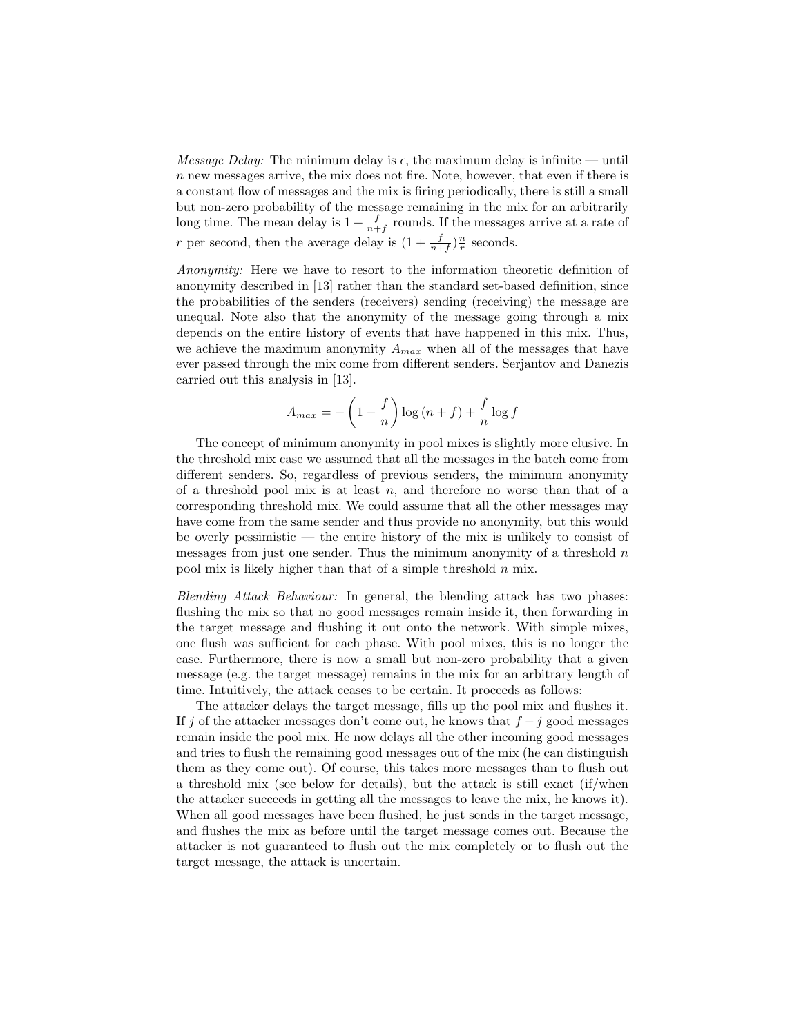*Message Delay:* The minimum delay is  $\epsilon$ , the maximum delay is infinite — until n new messages arrive, the mix does not fire. Note, however, that even if there is a constant flow of messages and the mix is firing periodically, there is still a small but non-zero probability of the message remaining in the mix for an arbitrarily long time. The mean delay is  $1 + \frac{f}{n+f}$  rounds. If the messages arrive at a rate of r per second, then the average delay is  $(1 + \frac{f}{n+f})\frac{n}{r}$  seconds.

Anonymity: Here we have to resort to the information theoretic definition of anonymity described in [13] rather than the standard set-based definition, since the probabilities of the senders (receivers) sending (receiving) the message are unequal. Note also that the anonymity of the message going through a mix depends on the entire history of events that have happened in this mix. Thus, we achieve the maximum anonymity  $A_{max}$  when all of the messages that have ever passed through the mix come from different senders. Serjantov and Danezis carried out this analysis in [13].

$$
A_{max} = -\left(1 - \frac{f}{n}\right)\log\left(n + f\right) + \frac{f}{n}\log f
$$

The concept of minimum anonymity in pool mixes is slightly more elusive. In the threshold mix case we assumed that all the messages in the batch come from different senders. So, regardless of previous senders, the minimum anonymity of a threshold pool mix is at least  $n$ , and therefore no worse than that of a corresponding threshold mix. We could assume that all the other messages may have come from the same sender and thus provide no anonymity, but this would be overly pessimistic — the entire history of the mix is unlikely to consist of messages from just one sender. Thus the minimum anonymity of a threshold  $n$ pool mix is likely higher than that of a simple threshold  $n$  mix.

Blending Attack Behaviour: In general, the blending attack has two phases: flushing the mix so that no good messages remain inside it, then forwarding in the target message and flushing it out onto the network. With simple mixes, one flush was sufficient for each phase. With pool mixes, this is no longer the case. Furthermore, there is now a small but non-zero probability that a given message (e.g. the target message) remains in the mix for an arbitrary length of time. Intuitively, the attack ceases to be certain. It proceeds as follows:

The attacker delays the target message, fills up the pool mix and flushes it. If j of the attacker messages don't come out, he knows that  $f - j$  good messages remain inside the pool mix. He now delays all the other incoming good messages and tries to flush the remaining good messages out of the mix (he can distinguish them as they come out). Of course, this takes more messages than to flush out a threshold mix (see below for details), but the attack is still exact (if/when the attacker succeeds in getting all the messages to leave the mix, he knows it). When all good messages have been flushed, he just sends in the target message, and flushes the mix as before until the target message comes out. Because the attacker is not guaranteed to flush out the mix completely or to flush out the target message, the attack is uncertain.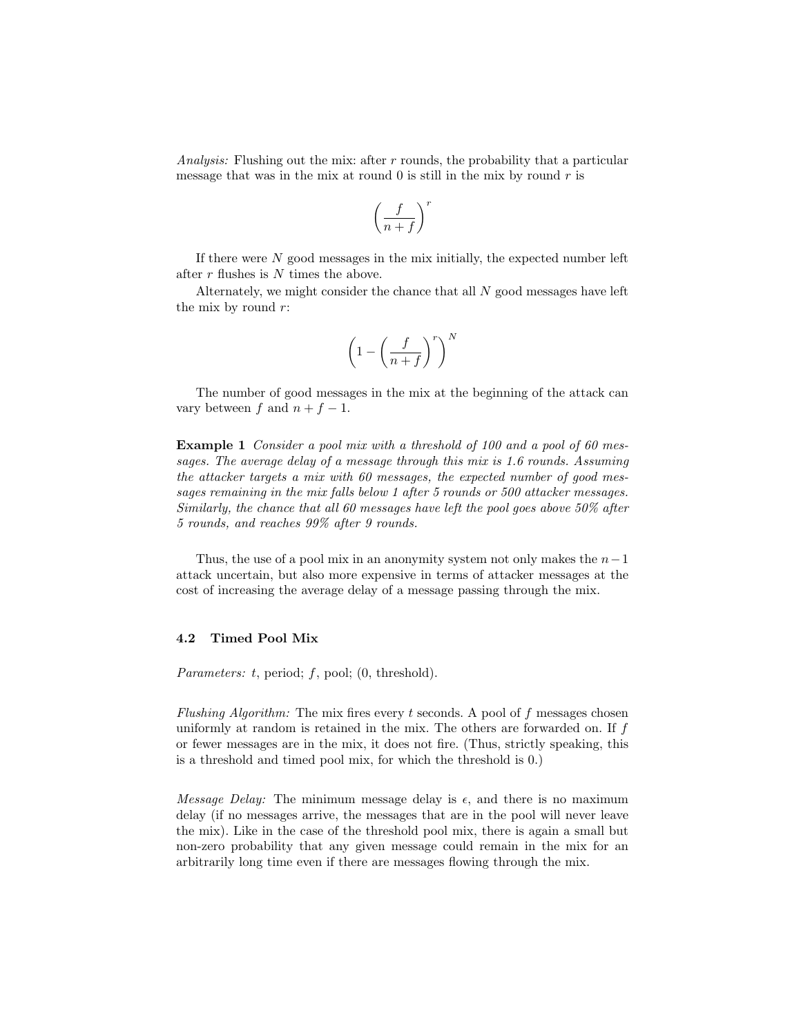Analysis: Flushing out the mix: after r rounds, the probability that a particular message that was in the mix at round  $\theta$  is still in the mix by round  $r$  is

$$
\left(\frac{f}{n+f}\right)^r
$$

If there were  $N$  good messages in the mix initially, the expected number left after  $r$  flushes is  $N$  times the above.

Alternately, we might consider the chance that all N good messages have left the mix by round  $r$ :

$$
\left(1 - \left(\frac{f}{n+f}\right)^r\right)^N
$$

The number of good messages in the mix at the beginning of the attack can vary between f and  $n + f - 1$ .

Example 1 Consider a pool mix with a threshold of 100 and a pool of 60 messages. The average delay of a message through this mix is 1.6 rounds. Assuming the attacker targets a mix with 60 messages, the expected number of good messages remaining in the mix falls below 1 after 5 rounds or 500 attacker messages. Similarly, the chance that all 60 messages have left the pool goes above 50% after 5 rounds, and reaches 99% after 9 rounds.

Thus, the use of a pool mix in an anonymity system not only makes the  $n-1$ attack uncertain, but also more expensive in terms of attacker messages at the cost of increasing the average delay of a message passing through the mix.

### 4.2 Timed Pool Mix

*Parameters: t, period; f, pool; (0, threshold).* 

Flushing Algorithm: The mix fires every t seconds. A pool of f messages chosen uniformly at random is retained in the mix. The others are forwarded on. If  $f$ or fewer messages are in the mix, it does not fire. (Thus, strictly speaking, this is a threshold and timed pool mix, for which the threshold is 0.)

*Message Delay:* The minimum message delay is  $\epsilon$ , and there is no maximum delay (if no messages arrive, the messages that are in the pool will never leave the mix). Like in the case of the threshold pool mix, there is again a small but non-zero probability that any given message could remain in the mix for an arbitrarily long time even if there are messages flowing through the mix.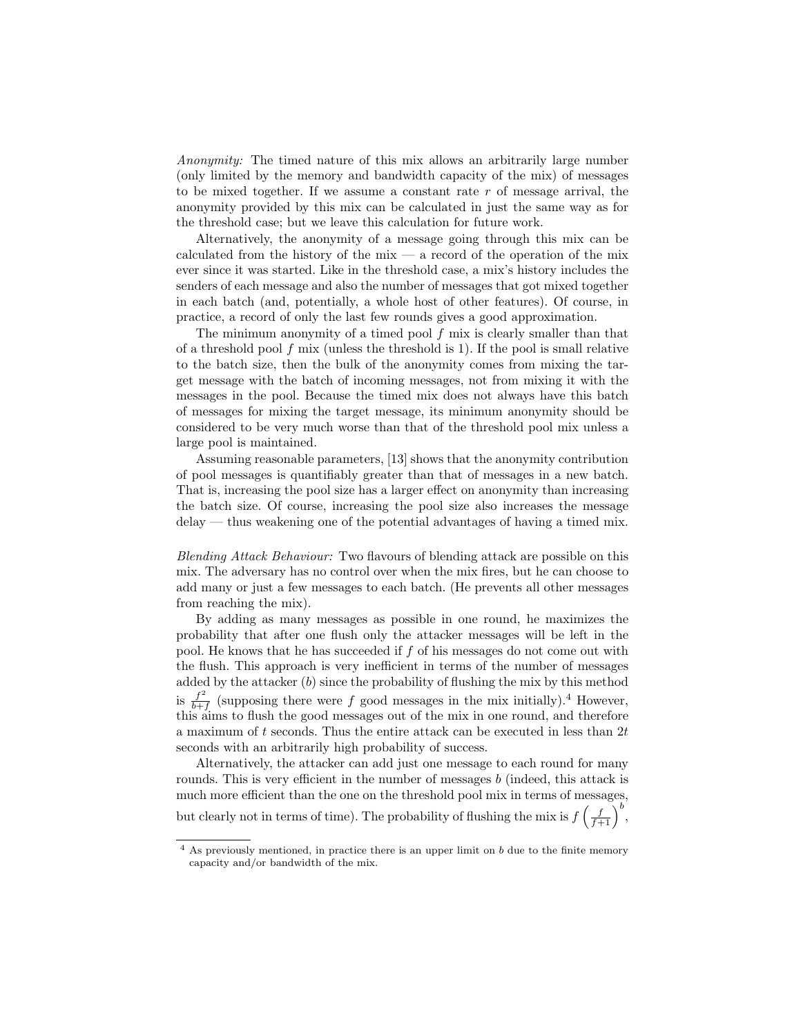Anonymity: The timed nature of this mix allows an arbitrarily large number (only limited by the memory and bandwidth capacity of the mix) of messages to be mixed together. If we assume a constant rate  $r$  of message arrival, the anonymity provided by this mix can be calculated in just the same way as for the threshold case; but we leave this calculation for future work.

Alternatively, the anonymity of a message going through this mix can be calculated from the history of the mix — a record of the operation of the mix ever since it was started. Like in the threshold case, a mix's history includes the senders of each message and also the number of messages that got mixed together in each batch (and, potentially, a whole host of other features). Of course, in practice, a record of only the last few rounds gives a good approximation.

The minimum anonymity of a timed pool  $f$  mix is clearly smaller than that of a threshold pool  $f$  mix (unless the threshold is 1). If the pool is small relative to the batch size, then the bulk of the anonymity comes from mixing the target message with the batch of incoming messages, not from mixing it with the messages in the pool. Because the timed mix does not always have this batch of messages for mixing the target message, its minimum anonymity should be considered to be very much worse than that of the threshold pool mix unless a large pool is maintained.

Assuming reasonable parameters, [13] shows that the anonymity contribution of pool messages is quantifiably greater than that of messages in a new batch. That is, increasing the pool size has a larger effect on anonymity than increasing the batch size. Of course, increasing the pool size also increases the message delay — thus weakening one of the potential advantages of having a timed mix.

Blending Attack Behaviour: Two flavours of blending attack are possible on this mix. The adversary has no control over when the mix fires, but he can choose to add many or just a few messages to each batch. (He prevents all other messages from reaching the mix).

By adding as many messages as possible in one round, he maximizes the probability that after one flush only the attacker messages will be left in the pool. He knows that he has succeeded if f of his messages do not come out with the flush. This approach is very inefficient in terms of the number of messages added by the attacker  $(b)$  since the probability of flushing the mix by this method is  $\frac{f^2}{h}$  $\frac{f^2}{b+f}$  (supposing there were f good messages in the mix initially).<sup>4</sup> However, this aims to flush the good messages out of the mix in one round, and therefore a maximum of  $t$  seconds. Thus the entire attack can be executed in less than  $2t$ seconds with an arbitrarily high probability of success.

Alternatively, the attacker can add just one message to each round for many rounds. This is very efficient in the number of messages b (indeed, this attack is much more efficient than the one on the threshold pool mix in terms of messages, but clearly not in terms of time). The probability of flushing the mix is  $f\left(\frac{f}{f+1}\right)^b$ ,

 $4$  As previously mentioned, in practice there is an upper limit on b due to the finite memory capacity and/or bandwidth of the mix.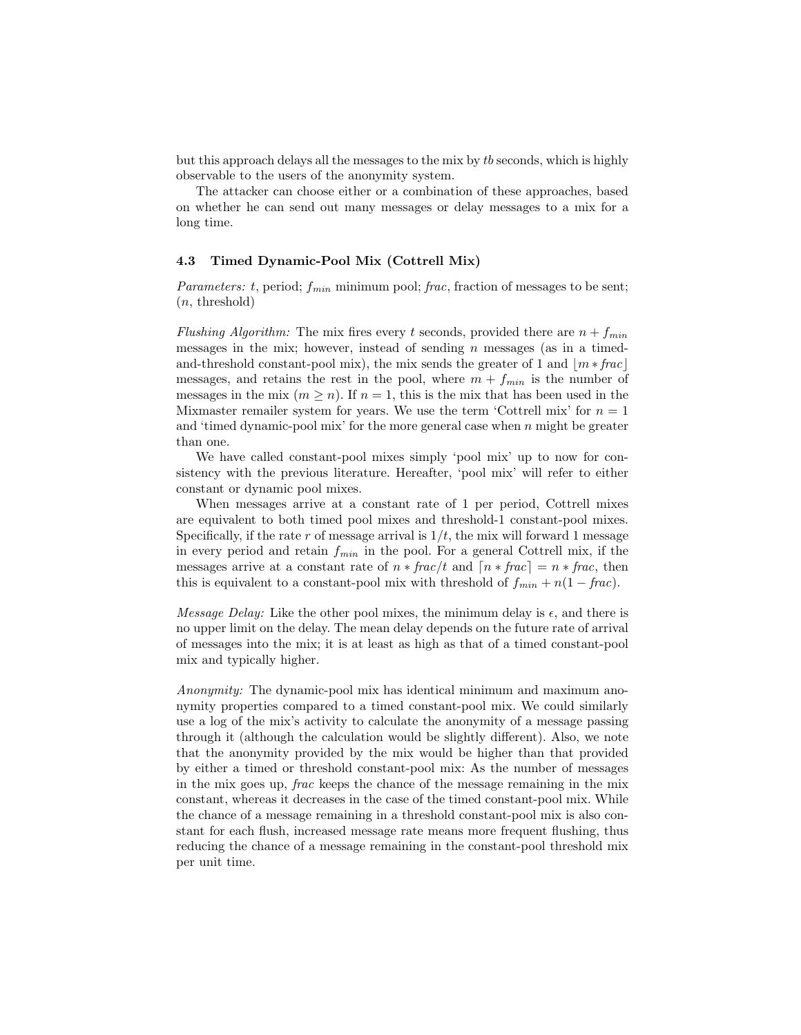but this approach delays all the messages to the mix by tb seconds, which is highly observable to the users of the anonymity system.

The attacker can choose either or a combination of these approaches, based on whether he can send out many messages or delay messages to a mix for a long time.

#### 4.3 Timed Dynamic-Pool Mix (Cottrell Mix)

Parameters: t, period;  $f_{min}$  minimum pool; frac, fraction of messages to be sent; (n, threshold)

Flushing Algorithm: The mix fires every t seconds, provided there are  $n + f_{min}$ messages in the mix; however, instead of sending n messages (as in a timedand-threshold constant-pool mix), the mix sends the greater of 1 and  $|m * frac|$ messages, and retains the rest in the pool, where  $m + f_{min}$  is the number of messages in the mix  $(m \ge n)$ . If  $n = 1$ , this is the mix that has been used in the Mixmaster remailer system for years. We use the term 'Cottrell mix' for  $n = 1$ and 'timed dynamic-pool mix' for the more general case when  $n$  might be greater than one.

We have called constant-pool mixes simply 'pool mix' up to now for consistency with the previous literature. Hereafter, 'pool mix' will refer to either constant or dynamic pool mixes.

When messages arrive at a constant rate of 1 per period, Cottrell mixes are equivalent to both timed pool mixes and threshold-1 constant-pool mixes. Specifically, if the rate r of message arrival is  $1/t$ , the mix will forward 1 message in every period and retain  $f_{min}$  in the pool. For a general Cottrell mix, if the messages arrive at a constant rate of  $n * frac/t$  and  $\lceil n * frac \rceil = n * frac$ , then this is equivalent to a constant-pool mix with threshold of  $f_{min} + n(1 - frac)$ .

*Message Delay:* Like the other pool mixes, the minimum delay is  $\epsilon$ , and there is no upper limit on the delay. The mean delay depends on the future rate of arrival of messages into the mix; it is at least as high as that of a timed constant-pool mix and typically higher.

Anonymity: The dynamic-pool mix has identical minimum and maximum anonymity properties compared to a timed constant-pool mix. We could similarly use a log of the mix's activity to calculate the anonymity of a message passing through it (although the calculation would be slightly different). Also, we note that the anonymity provided by the mix would be higher than that provided by either a timed or threshold constant-pool mix: As the number of messages in the mix goes up, frac keeps the chance of the message remaining in the mix constant, whereas it decreases in the case of the timed constant-pool mix. While the chance of a message remaining in a threshold constant-pool mix is also constant for each flush, increased message rate means more frequent flushing, thus reducing the chance of a message remaining in the constant-pool threshold mix per unit time.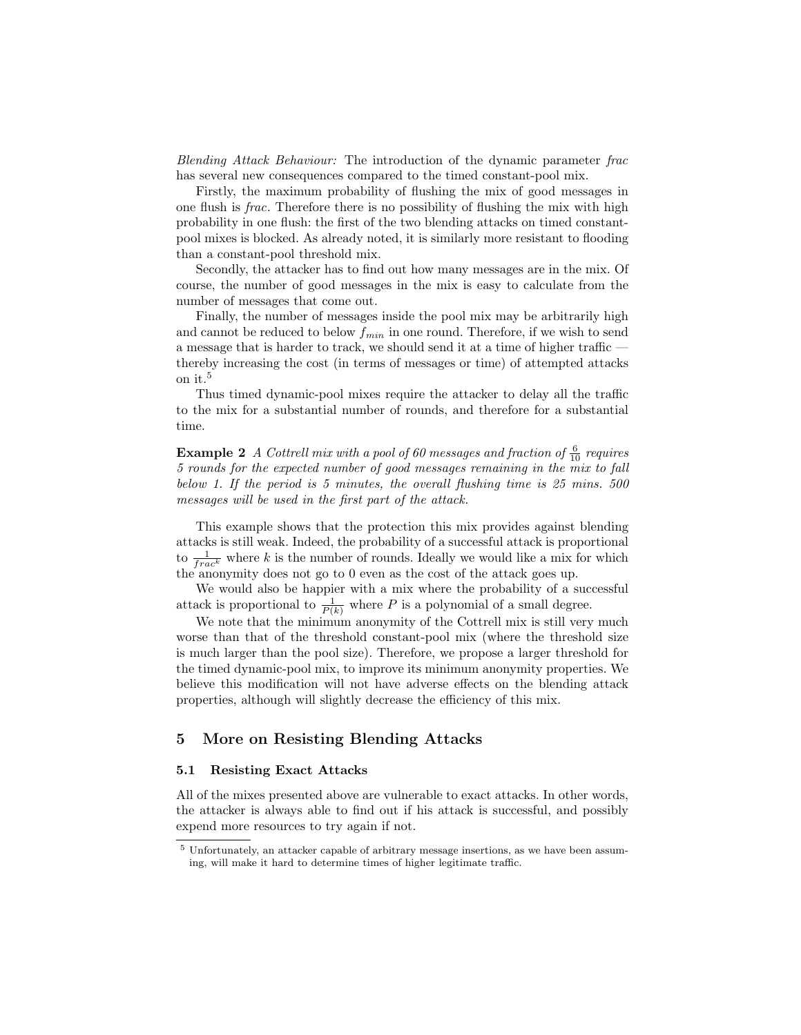Blending Attack Behaviour: The introduction of the dynamic parameter frac has several new consequences compared to the timed constant-pool mix.

Firstly, the maximum probability of flushing the mix of good messages in one flush is frac. Therefore there is no possibility of flushing the mix with high probability in one flush: the first of the two blending attacks on timed constantpool mixes is blocked. As already noted, it is similarly more resistant to flooding than a constant-pool threshold mix.

Secondly, the attacker has to find out how many messages are in the mix. Of course, the number of good messages in the mix is easy to calculate from the number of messages that come out.

Finally, the number of messages inside the pool mix may be arbitrarily high and cannot be reduced to below  $f_{min}$  in one round. Therefore, if we wish to send a message that is harder to track, we should send it at a time of higher traffic thereby increasing the cost (in terms of messages or time) of attempted attacks on it.<sup>5</sup>

Thus timed dynamic-pool mixes require the attacker to delay all the traffic to the mix for a substantial number of rounds, and therefore for a substantial time.

**Example 2** A Cottrell mix with a pool of 60 messages and fraction of  $\frac{6}{10}$  requires 5 rounds for the expected number of good messages remaining in the mix to fall below 1. If the period is 5 minutes, the overall flushing time is 25 mins. 500 messages will be used in the first part of the attack.

This example shows that the protection this mix provides against blending attacks is still weak. Indeed, the probability of a successful attack is proportional to  $\frac{1}{frac}$  where k is the number of rounds. Ideally we would like a mix for which the anonymity does not go to 0 even as the cost of the attack goes up.

We would also be happier with a mix where the probability of a successful attack is proportional to  $\frac{1}{P(k)}$  where P is a polynomial of a small degree.

We note that the minimum anonymity of the Cottrell mix is still very much worse than that of the threshold constant-pool mix (where the threshold size is much larger than the pool size). Therefore, we propose a larger threshold for the timed dynamic-pool mix, to improve its minimum anonymity properties. We believe this modification will not have adverse effects on the blending attack properties, although will slightly decrease the efficiency of this mix.

# 5 More on Resisting Blending Attacks

### 5.1 Resisting Exact Attacks

All of the mixes presented above are vulnerable to exact attacks. In other words, the attacker is always able to find out if his attack is successful, and possibly expend more resources to try again if not.

<sup>5</sup> Unfortunately, an attacker capable of arbitrary message insertions, as we have been assuming, will make it hard to determine times of higher legitimate traffic.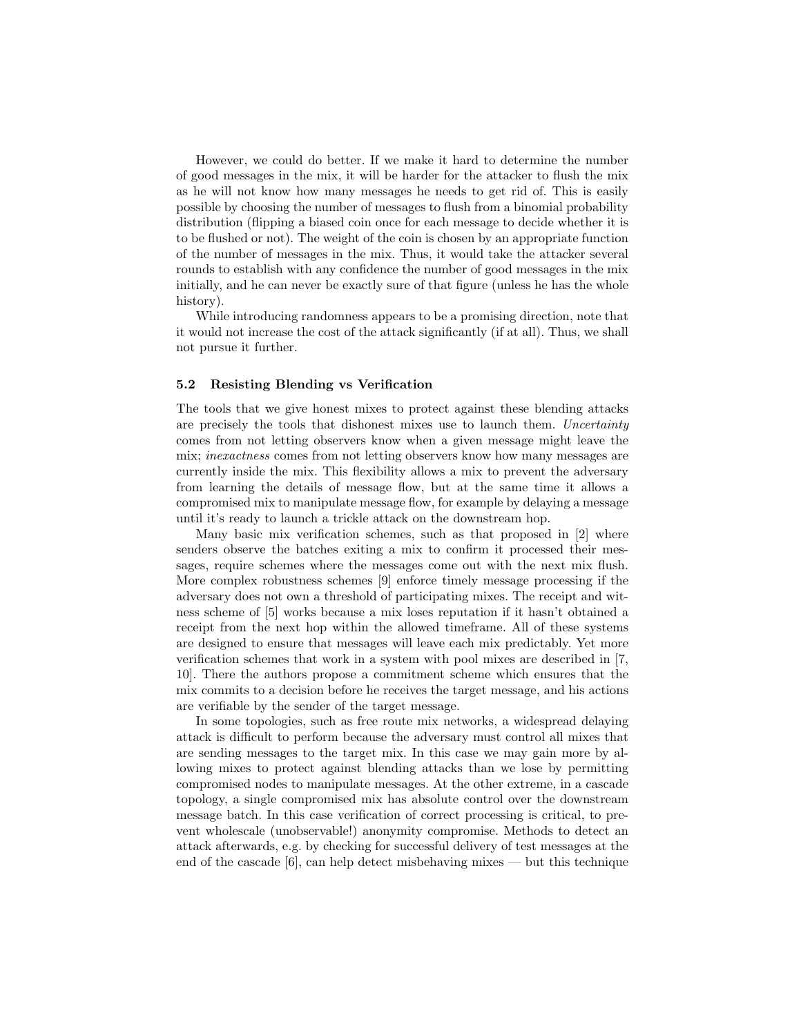However, we could do better. If we make it hard to determine the number of good messages in the mix, it will be harder for the attacker to flush the mix as he will not know how many messages he needs to get rid of. This is easily possible by choosing the number of messages to flush from a binomial probability distribution (flipping a biased coin once for each message to decide whether it is to be flushed or not). The weight of the coin is chosen by an appropriate function of the number of messages in the mix. Thus, it would take the attacker several rounds to establish with any confidence the number of good messages in the mix initially, and he can never be exactly sure of that figure (unless he has the whole history).

While introducing randomness appears to be a promising direction, note that it would not increase the cost of the attack significantly (if at all). Thus, we shall not pursue it further.

### 5.2 Resisting Blending vs Verification

The tools that we give honest mixes to protect against these blending attacks are precisely the tools that dishonest mixes use to launch them. Uncertainty comes from not letting observers know when a given message might leave the mix; *inexactness* comes from not letting observers know how many messages are currently inside the mix. This flexibility allows a mix to prevent the adversary from learning the details of message flow, but at the same time it allows a compromised mix to manipulate message flow, for example by delaying a message until it's ready to launch a trickle attack on the downstream hop.

Many basic mix verification schemes, such as that proposed in [2] where senders observe the batches exiting a mix to confirm it processed their messages, require schemes where the messages come out with the next mix flush. More complex robustness schemes [9] enforce timely message processing if the adversary does not own a threshold of participating mixes. The receipt and witness scheme of [5] works because a mix loses reputation if it hasn't obtained a receipt from the next hop within the allowed timeframe. All of these systems are designed to ensure that messages will leave each mix predictably. Yet more verification schemes that work in a system with pool mixes are described in [7, 10]. There the authors propose a commitment scheme which ensures that the mix commits to a decision before he receives the target message, and his actions are verifiable by the sender of the target message.

In some topologies, such as free route mix networks, a widespread delaying attack is difficult to perform because the adversary must control all mixes that are sending messages to the target mix. In this case we may gain more by allowing mixes to protect against blending attacks than we lose by permitting compromised nodes to manipulate messages. At the other extreme, in a cascade topology, a single compromised mix has absolute control over the downstream message batch. In this case verification of correct processing is critical, to prevent wholescale (unobservable!) anonymity compromise. Methods to detect an attack afterwards, e.g. by checking for successful delivery of test messages at the end of the cascade [6], can help detect misbehaving mixes — but this technique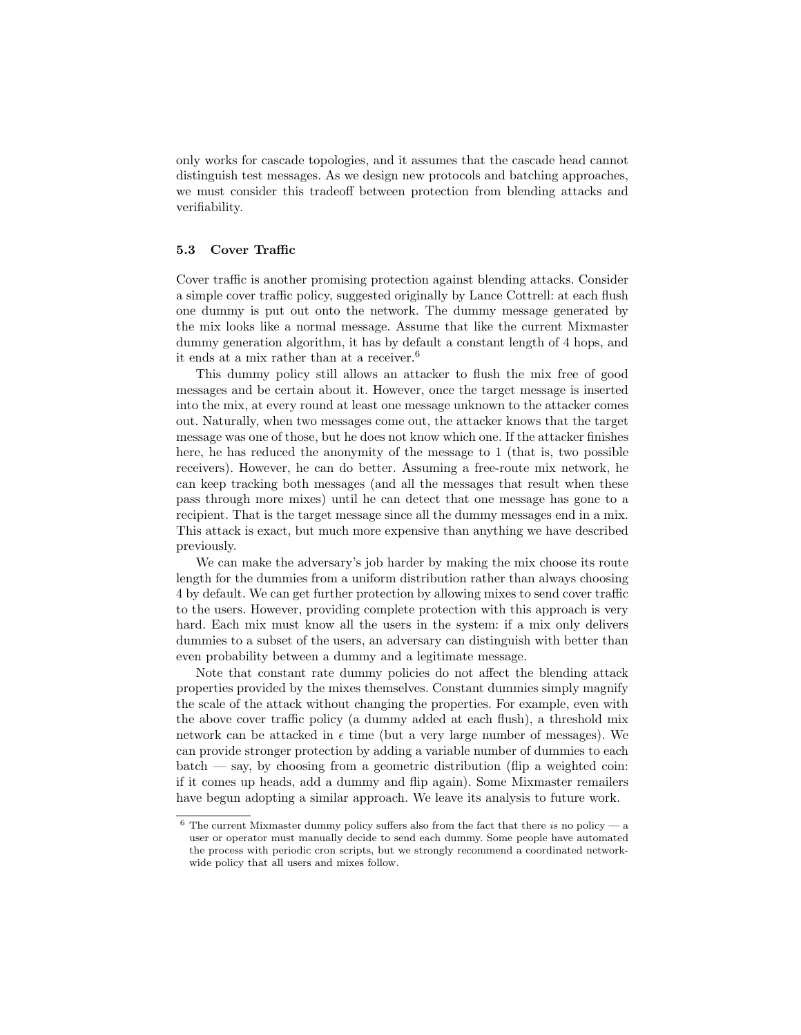only works for cascade topologies, and it assumes that the cascade head cannot distinguish test messages. As we design new protocols and batching approaches, we must consider this tradeoff between protection from blending attacks and verifiability.

## 5.3 Cover Traffic

Cover traffic is another promising protection against blending attacks. Consider a simple cover traffic policy, suggested originally by Lance Cottrell: at each flush one dummy is put out onto the network. The dummy message generated by the mix looks like a normal message. Assume that like the current Mixmaster dummy generation algorithm, it has by default a constant length of 4 hops, and it ends at a mix rather than at a receiver.<sup>6</sup>

This dummy policy still allows an attacker to flush the mix free of good messages and be certain about it. However, once the target message is inserted into the mix, at every round at least one message unknown to the attacker comes out. Naturally, when two messages come out, the attacker knows that the target message was one of those, but he does not know which one. If the attacker finishes here, he has reduced the anonymity of the message to 1 (that is, two possible receivers). However, he can do better. Assuming a free-route mix network, he can keep tracking both messages (and all the messages that result when these pass through more mixes) until he can detect that one message has gone to a recipient. That is the target message since all the dummy messages end in a mix. This attack is exact, but much more expensive than anything we have described previously.

We can make the adversary's job harder by making the mix choose its route length for the dummies from a uniform distribution rather than always choosing 4 by default. We can get further protection by allowing mixes to send cover traffic to the users. However, providing complete protection with this approach is very hard. Each mix must know all the users in the system: if a mix only delivers dummies to a subset of the users, an adversary can distinguish with better than even probability between a dummy and a legitimate message.

Note that constant rate dummy policies do not affect the blending attack properties provided by the mixes themselves. Constant dummies simply magnify the scale of the attack without changing the properties. For example, even with the above cover traffic policy (a dummy added at each flush), a threshold mix network can be attacked in  $\epsilon$  time (but a very large number of messages). We can provide stronger protection by adding a variable number of dummies to each  $b$ atch — say, by choosing from a geometric distribution (flip a weighted coin: if it comes up heads, add a dummy and flip again). Some Mixmaster remailers have begun adopting a similar approach. We leave its analysis to future work.

 $6$  The current Mixmaster dummy policy suffers also from the fact that there is no policy — a user or operator must manually decide to send each dummy. Some people have automated the process with periodic cron scripts, but we strongly recommend a coordinated networkwide policy that all users and mixes follow.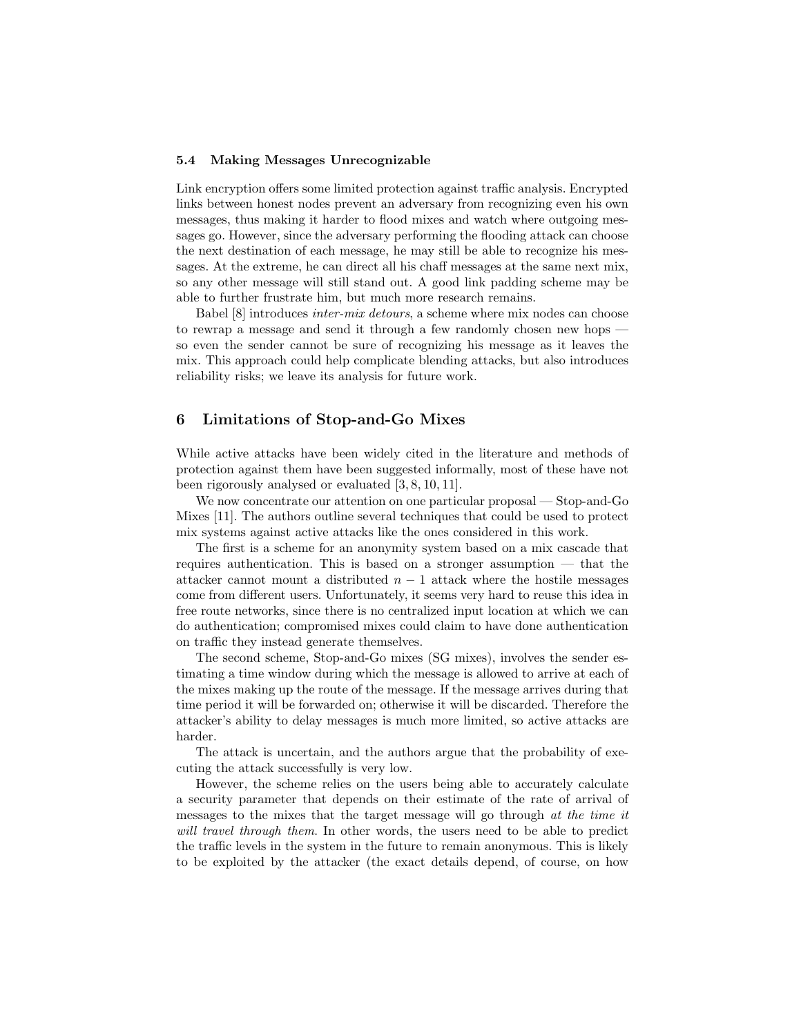### 5.4 Making Messages Unrecognizable

Link encryption offers some limited protection against traffic analysis. Encrypted links between honest nodes prevent an adversary from recognizing even his own messages, thus making it harder to flood mixes and watch where outgoing messages go. However, since the adversary performing the flooding attack can choose the next destination of each message, he may still be able to recognize his messages. At the extreme, he can direct all his chaff messages at the same next mix, so any other message will still stand out. A good link padding scheme may be able to further frustrate him, but much more research remains.

Babel [8] introduces inter-mix detours, a scheme where mix nodes can choose to rewrap a message and send it through a few randomly chosen new hops so even the sender cannot be sure of recognizing his message as it leaves the mix. This approach could help complicate blending attacks, but also introduces reliability risks; we leave its analysis for future work.

# 6 Limitations of Stop-and-Go Mixes

While active attacks have been widely cited in the literature and methods of protection against them have been suggested informally, most of these have not been rigorously analysed or evaluated [3, 8, 10, 11].

We now concentrate our attention on one particular proposal — Stop-and-Go Mixes [11]. The authors outline several techniques that could be used to protect mix systems against active attacks like the ones considered in this work.

The first is a scheme for an anonymity system based on a mix cascade that requires authentication. This is based on a stronger assumption — that the attacker cannot mount a distributed  $n-1$  attack where the hostile messages come from different users. Unfortunately, it seems very hard to reuse this idea in free route networks, since there is no centralized input location at which we can do authentication; compromised mixes could claim to have done authentication on traffic they instead generate themselves.

The second scheme, Stop-and-Go mixes (SG mixes), involves the sender estimating a time window during which the message is allowed to arrive at each of the mixes making up the route of the message. If the message arrives during that time period it will be forwarded on; otherwise it will be discarded. Therefore the attacker's ability to delay messages is much more limited, so active attacks are harder.

The attack is uncertain, and the authors argue that the probability of executing the attack successfully is very low.

However, the scheme relies on the users being able to accurately calculate a security parameter that depends on their estimate of the rate of arrival of messages to the mixes that the target message will go through at the time it will travel through them. In other words, the users need to be able to predict the traffic levels in the system in the future to remain anonymous. This is likely to be exploited by the attacker (the exact details depend, of course, on how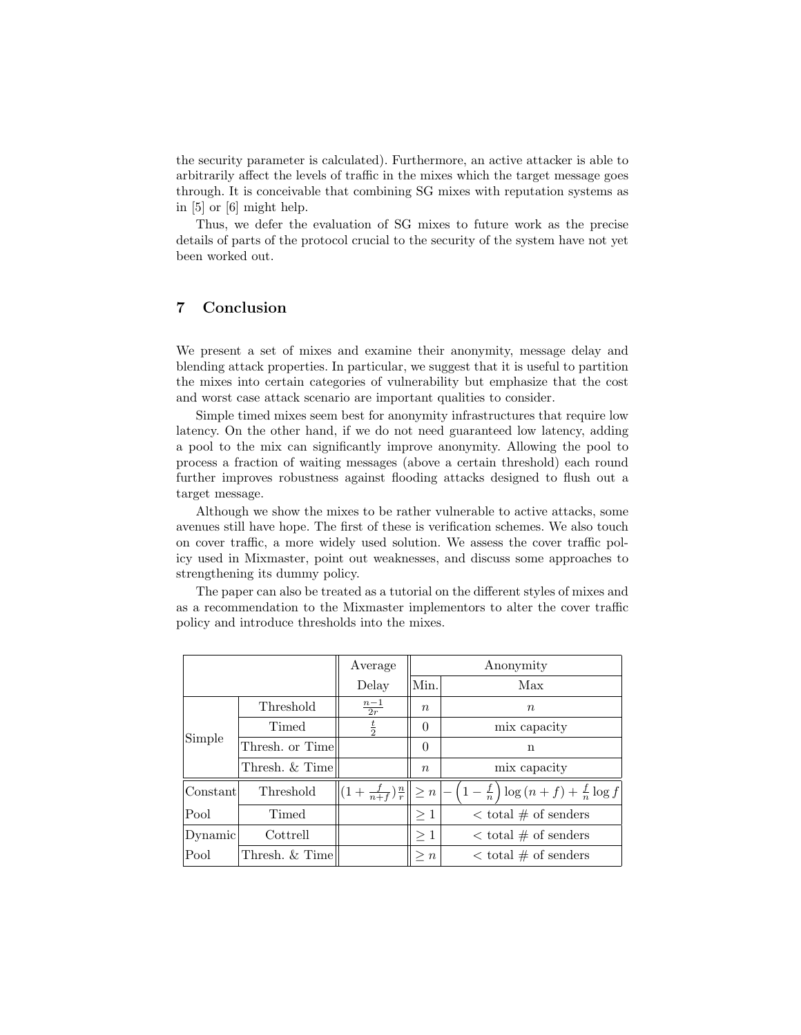the security parameter is calculated). Furthermore, an active attacker is able to arbitrarily affect the levels of traffic in the mixes which the target message goes through. It is conceivable that combining SG mixes with reputation systems as in [5] or [6] might help.

Thus, we defer the evaluation of SG mixes to future work as the precise details of parts of the protocol crucial to the security of the system have not yet been worked out.

# 7 Conclusion

We present a set of mixes and examine their anonymity, message delay and blending attack properties. In particular, we suggest that it is useful to partition the mixes into certain categories of vulnerability but emphasize that the cost and worst case attack scenario are important qualities to consider.

Simple timed mixes seem best for anonymity infrastructures that require low latency. On the other hand, if we do not need guaranteed low latency, adding a pool to the mix can significantly improve anonymity. Allowing the pool to process a fraction of waiting messages (above a certain threshold) each round further improves robustness against flooding attacks designed to flush out a target message.

Although we show the mixes to be rather vulnerable to active attacks, some avenues still have hope. The first of these is verification schemes. We also touch on cover traffic, a more widely used solution. We assess the cover traffic policy used in Mixmaster, point out weaknesses, and discuss some approaches to strengthening its dummy policy.

The paper can also be treated as a tutorial on the different styles of mixes and as a recommendation to the Mixmaster implementors to alter the cover traffic policy and introduce thresholds into the mixes.

|          |                 | Average                              | Anonymity |                                                       |
|----------|-----------------|--------------------------------------|-----------|-------------------------------------------------------|
|          |                 | Delay                                | Min.      | Max                                                   |
| Simple   | Threshold       | $\frac{n-1}{2r}$                     | $\,n$     | $n_{\rm c}$                                           |
|          | Timed           | $rac{t}{2}$                          | $\Omega$  | mix capacity                                          |
|          | Thresh. or Time |                                      | $\Omega$  | n                                                     |
|          | Thresh. & Time  |                                      | $\,n$     | mix capacity                                          |
| Constant | Threshold       | $(1+\frac{f}{n+f})\frac{n}{r}\geq n$ |           | $rac{f}{n}$<br>$\log(n+f) + \frac{f}{n} \log f$       |
| Pool     | Timed           |                                      | $\geq 1$  | $\langle \text{total } \# \text{ of senders} \rangle$ |
| Dynamic  | Cottrell        |                                      | $\geq 1$  | $\langle \text{total } \# \text{ of senders} \rangle$ |
| Pool     | Thresh. & Time  |                                      | $\geq n$  | $\langle \text{total } \# \text{ of senders} \rangle$ |